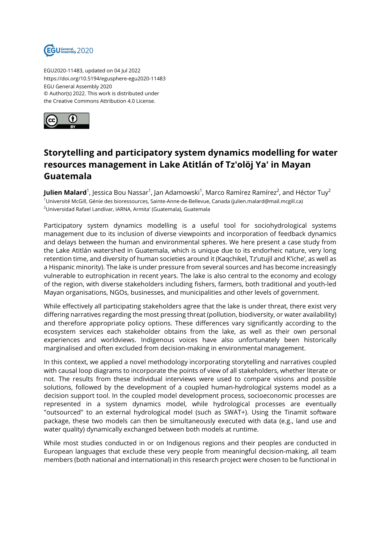

EGU2020-11483, updated on 04 Jul 2022 https://doi.org/10.5194/egusphere-egu2020-11483 EGU General Assembly 2020 © Author(s) 2022. This work is distributed under the Creative Commons Attribution 4.0 License.



## **Storytelling and participatory system dynamics modelling for water resources management in Lake Atitlán of Tz'olöj Ya' in Mayan Guatemala**

**Julien Malard**<sup>1</sup>, Jessica Bou Nassar<sup>1</sup>, Jan Adamowski<sup>1</sup>, Marco Ramírez Ramírez<sup>2</sup>, and Héctor Tuy<sup>2</sup> <sup>1</sup>Université McGill, Génie des bioressources, Sainte-Anne-de-Bellevue, Canada (julien.malard@mail.mcgill.ca) <sup>2</sup>Universidad Rafael Landívar, IARNA, Armita' (Guatemala), Guatemala

Participatory system dynamics modelling is a useful tool for sociohydrological systems management due to its inclusion of diverse viewpoints and incorporation of feedback dynamics and delays between the human and environmental spheres. We here present a case study from the Lake Atitlán watershed in Guatemala, which is unique due to its endorheic nature, very long retention time, and diversity of human societies around it (Kaqchikel, Tz'utujil and K'iche', as well as a Hispanic minority). The lake is under pressure from several sources and has become increasingly vulnerable to eutrophication in recent years. The lake is also central to the economy and ecology of the region, with diverse stakeholders including fishers, farmers, both traditional and youth-led Mayan organisations, NGOs, businesses, and municipalities and other levels of government.

While effectively all participating stakeholders agree that the lake is under threat, there exist very differing narratives regarding the most pressing threat (pollution, biodiversity, or water availability) and therefore appropriate policy options. These differences vary significantly according to the ecosystem services each stakeholder obtains from the lake, as well as their own personal experiences and worldviews. Indigenous voices have also unfortunately been historically marginalised and often excluded from decision-making in environmental management.

In this context, we applied a novel methodology incorporating storytelling and narratives coupled with causal loop diagrams to incorporate the points of view of all stakeholders, whether literate or not. The results from these individual interviews were used to compare visions and possible solutions, followed by the development of a coupled human-hydrological systems model as a decision support tool. In the coupled model development process, socioeconomic processes are represented in a system dynamics model, while hydrological processes are eventually "outsourced" to an external hydrological model (such as SWAT+). Using the Tinamït software package, these two models can then be simultaneously executed with data (e.g., land use and water quality) dynamically exchanged between both models at runtime.

While most studies conducted in or on Indigenous regions and their peoples are conducted in European languages that exclude these very people from meaningful decision-making, all team members (both national and international) in this research project were chosen to be functional in